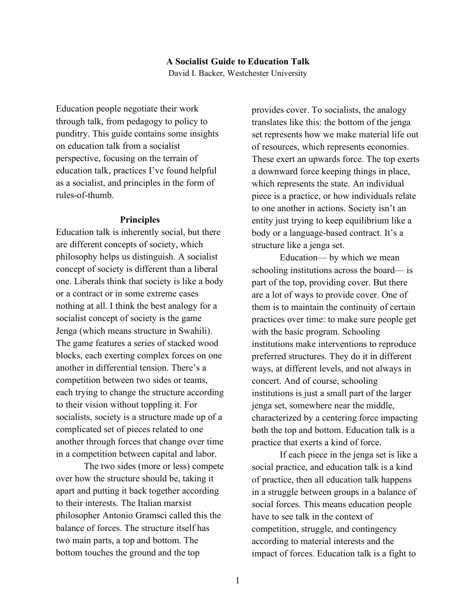## **A Socialist Guide to Education Talk** David I. Backer, Westchester University

Education people negotiate their work through talk, from pedagogy to policy to punditry. This guide contains some insights on education talk from a socialist perspective, focusing on the terrain of education talk, practices I've found helpful as a socialist, and principles in the form of rules-of-thumb.

#### **Principles**

Education talk is inherently social, but there are different concepts of society, which philosophy helps us distinguish. A socialist concept of society is different than a liberal one. Liberals think that society is like a body or a contract or in some extreme cases nothing at all. I think the best analogy for a socialist concept of society is the game Jenga (which means structure in Swahili). The game features a series of stacked wood blocks, each exerting complex forces on one another in differential tension. There's a competition between two sides or teams, each trying to change the structure according to their vision without toppling it. For socialists, society is a structure made up of a complicated set of pieces related to one another through forces that change over time in a competition between capital and labor.

The two sides (more or less) compete over how the structure should be, taking it apart and putting it back together according to their interests. The Italian marxist philosopher Antonio Gramsci called this the balance of forces. The structure itself has two main parts, a top and bottom. The bottom touches the ground and the top

provides cover. To socialists, the analogy translates like this: the bottom of the jenga set represents how we make material life out of resources, which represents economies. These exert an upwards force. The top exerts a downward force keeping things in place, which represents the state. An individual piece is a practice, or how individuals relate to one another in actions. Society isn't an entity just trying to keep equilibrium like a body or a language-based contract. It's a structure like a jenga set.

Education— by which we mean schooling institutions across the board— is part of the top, providing cover. But there are a lot of ways to provide cover. One of them is to maintain the continuity of certain practices over time: to make sure people get with the basic program. Schooling institutions make interventions to reproduce preferred structures. They do it in different ways, at different levels, and not always in concert. And of course, schooling institutions is just a small part of the larger jenga set, somewhere near the middle, characterized by a centering force impacting both the top and bottom. Education talk is a practice that exerts a kind of force.

If each piece in the jenga set is like a social practice, and education talk is a kind of practice, then all education talk happens in a struggle between groups in a balance of social forces. This means education people have to see talk in the context of competition, struggle, and contingency according to material interests and the impact of forces. Education talk is a fight to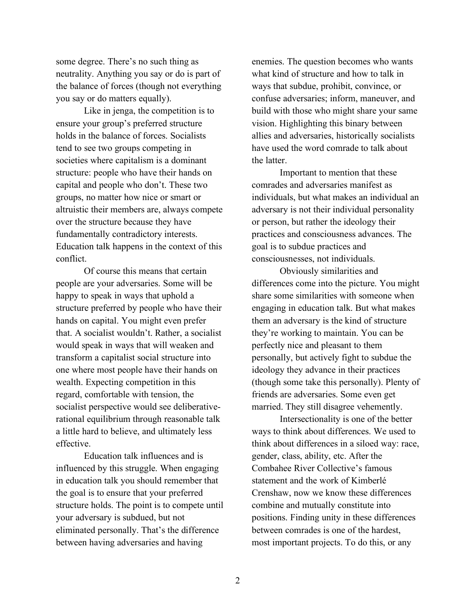some degree. There's no such thing as neutrality. Anything you say or do is part of the balance of forces (though not everything you say or do matters equally).

Like in jenga, the competition is to ensure your group's preferred structure holds in the balance of forces. Socialists tend to see two groups competing in societies where capitalism is a dominant structure: people who have their hands on capital and people who don't. These two groups, no matter how nice or smart or altruistic their members are, always compete over the structure because they have fundamentally contradictory interests. Education talk happens in the context of this conflict.

Of course this means that certain people are your adversaries. Some will be happy to speak in ways that uphold a structure preferred by people who have their hands on capital. You might even prefer that. A socialist wouldn't. Rather, a socialist would speak in ways that will weaken and transform a capitalist social structure into one where most people have their hands on wealth. Expecting competition in this regard, comfortable with tension, the socialist perspective would see deliberativerational equilibrium through reasonable talk a little hard to believe, and ultimately less effective.

Education talk influences and is influenced by this struggle. When engaging in education talk you should remember that the goal is to ensure that your preferred structure holds. The point is to compete until your adversary is subdued, but not eliminated personally. That's the difference between having adversaries and having

enemies. The question becomes who wants what kind of structure and how to talk in ways that subdue, prohibit, convince, or confuse adversaries; inform, maneuver, and build with those who might share your same vision. Highlighting this binary between allies and adversaries, historically socialists have used the word comrade to talk about the latter.

Important to mention that these comrades and adversaries manifest as individuals, but what makes an individual an adversary is not their individual personality or person, but rather the ideology their practices and consciousness advances. The goal is to subdue practices and consciousnesses, not individuals.

Obviously similarities and differences come into the picture. You might share some similarities with someone when engaging in education talk. But what makes them an adversary is the kind of structure they're working to maintain. You can be perfectly nice and pleasant to them personally, but actively fight to subdue the ideology they advance in their practices (though some take this personally). Plenty of friends are adversaries. Some even get married. They still disagree vehemently.

Intersectionality is one of the better ways to think about differences. We used to think about differences in a siloed way: race, gender, class, ability, etc. After the Combahee River Collective's famous statement and the work of Kimberlé Crenshaw, now we know these differences combine and mutually constitute into positions. Finding unity in these differences between comrades is one of the hardest, most important projects. To do this, or any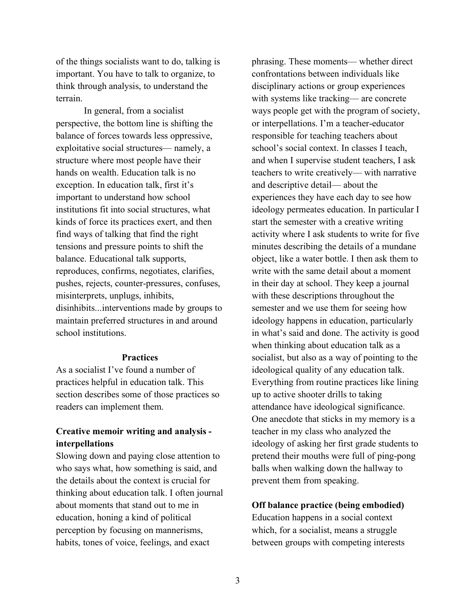of the things socialists want to do, talking is important. You have to talk to organize, to think through analysis, to understand the terrain.

In general, from a socialist perspective, the bottom line is shifting the balance of forces towards less oppressive, exploitative social structures— namely, a structure where most people have their hands on wealth. Education talk is no exception. In education talk, first it's important to understand how school institutions fit into social structures, what kinds of force its practices exert, and then find ways of talking that find the right tensions and pressure points to shift the balance. Educational talk supports, reproduces, confirms, negotiates, clarifies, pushes, rejects, counter-pressures, confuses, misinterprets, unplugs, inhibits, disinhibits...interventions made by groups to maintain preferred structures in and around school institutions.

#### **Practices**

As a socialist I've found a number of practices helpful in education talk. This section describes some of those practices so readers can implement them.

# **Creative memoir writing and analysis interpellations**

Slowing down and paying close attention to who says what, how something is said, and the details about the context is crucial for thinking about education talk. I often journal about moments that stand out to me in education, honing a kind of political perception by focusing on mannerisms, habits, tones of voice, feelings, and exact

phrasing. These moments— whether direct confrontations between individuals like disciplinary actions or group experiences with systems like tracking— are concrete ways people get with the program of society, or interpellations. I'm a teacher-educator responsible for teaching teachers about school's social context. In classes I teach, and when I supervise student teachers, I ask teachers to write creatively— with narrative and descriptive detail— about the experiences they have each day to see how ideology permeates education. In particular I start the semester with a creative writing activity where I ask students to write for five minutes describing the details of a mundane object, like a water bottle. I then ask them to write with the same detail about a moment in their day at school. They keep a journal with these descriptions throughout the semester and we use them for seeing how ideology happens in education, particularly in what's said and done. The activity is good when thinking about education talk as a socialist, but also as a way of pointing to the ideological quality of any education talk. Everything from routine practices like lining up to active shooter drills to taking attendance have ideological significance. One anecdote that sticks in my memory is a teacher in my class who analyzed the ideology of asking her first grade students to pretend their mouths were full of ping-pong balls when walking down the hallway to prevent them from speaking.

## **Off balance practice (being embodied)**

Education happens in a social context which, for a socialist, means a struggle between groups with competing interests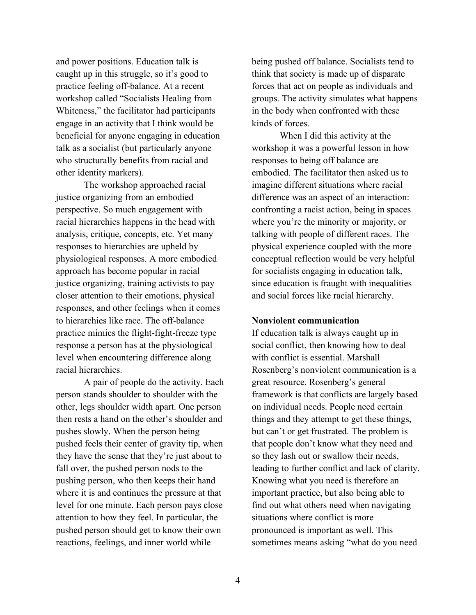and power positions. Education talk is caught up in this struggle, so it's good to practice feeling off-balance. At a recent workshop called "Socialists Healing from Whiteness," the facilitator had participants engage in an activity that I think would be beneficial for anyone engaging in education talk as a socialist (but particularly anyone who structurally benefits from racial and other identity markers).

The workshop approached racial justice organizing from an embodied perspective. So much engagement with racial hierarchies happens in the head with analysis, critique, concepts, etc. Yet many responses to hierarchies are upheld by physiological responses. A more embodied approach has become popular in racial justice organizing, training activists to pay closer attention to their emotions, physical responses, and other feelings when it comes to hierarchies like race. The off-balance practice mimics the flight-fight-freeze type response a person has at the physiological level when encountering difference along racial hierarchies.

A pair of people do the activity. Each person stands shoulder to shoulder with the other, legs shoulder width apart. One person then rests a hand on the other's shoulder and pushes slowly. When the person being pushed feels their center of gravity tip, when they have the sense that they're just about to fall over, the pushed person nods to the pushing person, who then keeps their hand where it is and continues the pressure at that level for one minute. Each person pays close attention to how they feel. In particular, the pushed person should get to know their own reactions, feelings, and inner world while

being pushed off balance. Socialists tend to think that society is made up of disparate forces that act on people as individuals and groups. The activity simulates what happens in the body when confronted with these kinds of forces.

When I did this activity at the workshop it was a powerful lesson in how responses to being off balance are embodied. The facilitator then asked us to imagine different situations where racial difference was an aspect of an interaction: confronting a racist action, being in spaces where you're the minority or majority, or talking with people of different races. The physical experience coupled with the more conceptual reflection would be very helpful for socialists engaging in education talk, since education is fraught with inequalities and social forces like racial hierarchy.

## **Nonviolent communication**

If education talk is always caught up in social conflict, then knowing how to deal with conflict is essential. Marshall Rosenberg's nonviolent communication is a great resource. Rosenberg's general framework is that conflicts are largely based on individual needs. People need certain things and they attempt to get these things, but can't or get frustrated. The problem is that people don't know what they need and so they lash out or swallow their needs, leading to further conflict and lack of clarity. Knowing what you need is therefore an important practice, but also being able to find out what others need when navigating situations where conflict is more pronounced is important as well. This sometimes means asking "what do you need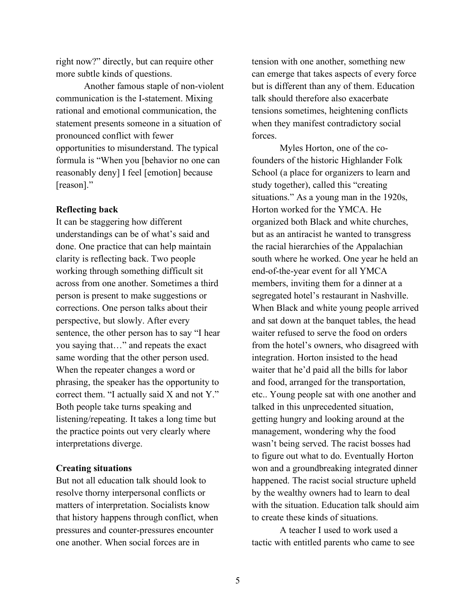right now?" directly, but can require other more subtle kinds of questions.

Another famous staple of non-violent communication is the I-statement. Mixing rational and emotional communication, the statement presents someone in a situation of pronounced conflict with fewer opportunities to misunderstand. The typical formula is "When you [behavior no one can reasonably deny] I feel [emotion] because [reason]."

#### **Reflecting back**

It can be staggering how different understandings can be of what's said and done. One practice that can help maintain clarity is reflecting back. Two people working through something difficult sit across from one another. Sometimes a third person is present to make suggestions or corrections. One person talks about their perspective, but slowly. After every sentence, the other person has to say "I hear you saying that…" and repeats the exact same wording that the other person used. When the repeater changes a word or phrasing, the speaker has the opportunity to correct them. "I actually said X and not Y." Both people take turns speaking and listening/repeating. It takes a long time but the practice points out very clearly where interpretations diverge.

#### **Creating situations**

But not all education talk should look to resolve thorny interpersonal conflicts or matters of interpretation. Socialists know that history happens through conflict, when pressures and counter-pressures encounter one another. When social forces are in

tension with one another, something new can emerge that takes aspects of every force but is different than any of them. Education talk should therefore also exacerbate tensions sometimes, heightening conflicts when they manifest contradictory social forces.

Myles Horton, one of the cofounders of the historic Highlander Folk School (a place for organizers to learn and study together), called this "creating situations." As a young man in the 1920s, Horton worked for the YMCA. He organized both Black and white churches, but as an antiracist he wanted to transgress the racial hierarchies of the Appalachian south where he worked. One year he held an end-of-the-year event for all YMCA members, inviting them for a dinner at a segregated hotel's restaurant in Nashville. When Black and white young people arrived and sat down at the banquet tables, the head waiter refused to serve the food on orders from the hotel's owners, who disagreed with integration. Horton insisted to the head waiter that he'd paid all the bills for labor and food, arranged for the transportation, etc.. Young people sat with one another and talked in this unprecedented situation, getting hungry and looking around at the management, wondering why the food wasn't being served. The racist bosses had to figure out what to do. Eventually Horton won and a groundbreaking integrated dinner happened. The racist social structure upheld by the wealthy owners had to learn to deal with the situation. Education talk should aim to create these kinds of situations.

A teacher I used to work used a tactic with entitled parents who came to see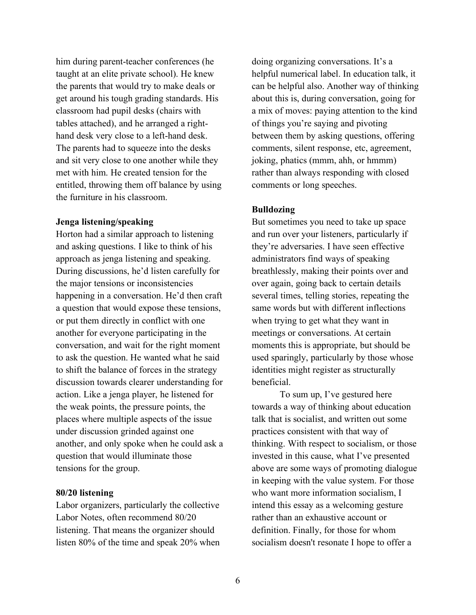him during parent-teacher conferences (he taught at an elite private school). He knew the parents that would try to make deals or get around his tough grading standards. His classroom had pupil desks (chairs with tables attached), and he arranged a righthand desk very close to a left-hand desk. The parents had to squeeze into the desks and sit very close to one another while they met with him. He created tension for the entitled, throwing them off balance by using the furniture in his classroom.

## **Jenga listening/speaking**

Horton had a similar approach to listening and asking questions. I like to think of his approach as jenga listening and speaking. During discussions, he'd listen carefully for the major tensions or inconsistencies happening in a conversation. He'd then craft a question that would expose these tensions, or put them directly in conflict with one another for everyone participating in the conversation, and wait for the right moment to ask the question. He wanted what he said to shift the balance of forces in the strategy discussion towards clearer understanding for action. Like a jenga player, he listened for the weak points, the pressure points, the places where multiple aspects of the issue under discussion grinded against one another, and only spoke when he could ask a question that would illuminate those tensions for the group.

#### **80/20 listening**

Labor organizers, particularly the collective Labor Notes, often recommend 80/20 listening. That means the organizer should listen 80% of the time and speak 20% when

doing organizing conversations. It's a helpful numerical label. In education talk, it can be helpful also. Another way of thinking about this is, during conversation, going for a mix of moves: paying attention to the kind of things you're saying and pivoting between them by asking questions, offering comments, silent response, etc, agreement, joking, phatics (mmm, ahh, or hmmm) rather than always responding with closed comments or long speeches.

## **Bulldozing**

But sometimes you need to take up space and run over your listeners, particularly if they're adversaries. I have seen effective administrators find ways of speaking breathlessly, making their points over and over again, going back to certain details several times, telling stories, repeating the same words but with different inflections when trying to get what they want in meetings or conversations. At certain moments this is appropriate, but should be used sparingly, particularly by those whose identities might register as structurally beneficial.

To sum up, I've gestured here towards a way of thinking about education talk that is socialist, and written out some practices consistent with that way of thinking. With respect to socialism, or those invested in this cause, what I've presented above are some ways of promoting dialogue in keeping with the value system. For those who want more information socialism, I intend this essay as a welcoming gesture rather than an exhaustive account or definition. Finally, for those for whom socialism doesn't resonate I hope to offer a